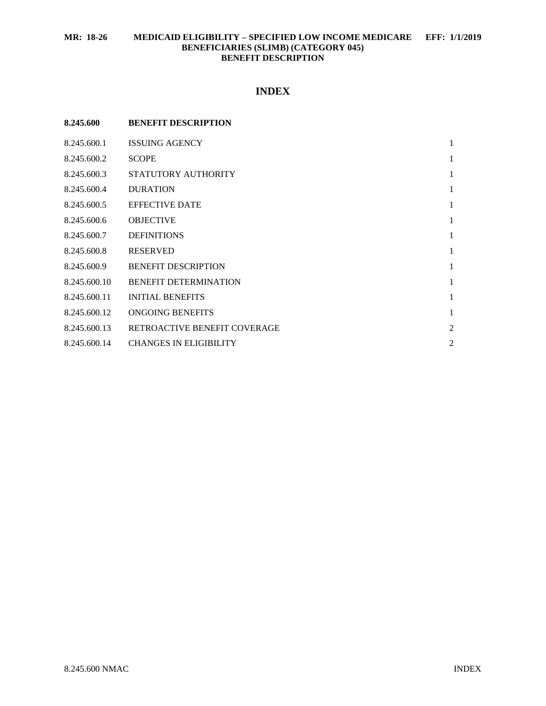# **MR: 18-26 MEDICAID ELIGIBILITY – SPECIFIED LOW INCOME MEDICARE EFF: 1/1/2019 BENEFICIARIES (SLIMB) (CATEGORY 045) BENEFIT DESCRIPTION**

# **INDEX**

| 8.245.600    | <b>BENEFIT DESCRIPTION</b>    |                |
|--------------|-------------------------------|----------------|
| 8.245.600.1  | <b>ISSUING AGENCY</b>         | $\mathbf{1}$   |
| 8.245.600.2  | <b>SCOPE</b>                  | 1              |
| 8.245.600.3  | STATUTORY AUTHORITY           | $\mathbf{1}$   |
| 8.245.600.4  | <b>DURATION</b>               | 1              |
| 8.245.600.5  | <b>EFFECTIVE DATE</b>         | $\mathbf{1}$   |
| 8.245.600.6  | <b>OBJECTIVE</b>              | 1              |
| 8.245.600.7  | <b>DEFINITIONS</b>            | 1              |
| 8.245.600.8  | <b>RESERVED</b>               | 1              |
| 8.245.600.9  | <b>BENEFIT DESCRIPTION</b>    | $\mathbf{1}$   |
| 8.245.600.10 | <b>BENEFIT DETERMINATION</b>  | 1              |
| 8.245.600.11 | <b>INITIAL BENEFITS</b>       | 1              |
| 8.245.600.12 | ONGOING BENEFITS              | 1              |
| 8.245.600.13 | RETROACTIVE BENEFIT COVERAGE  | $\overline{2}$ |
| 8.245.600.14 | <b>CHANGES IN ELIGIBILITY</b> | $\overline{2}$ |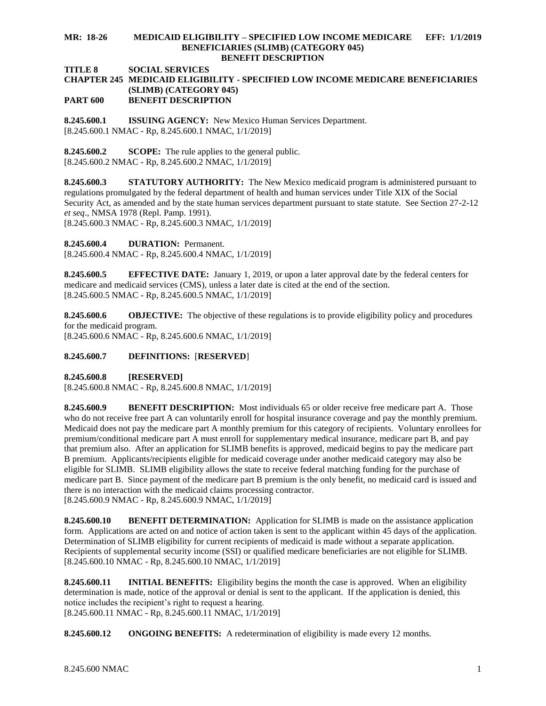#### **MR: 18-26 MEDICAID ELIGIBILITY – SPECIFIED LOW INCOME MEDICARE EFF: 1/1/2019 BENEFICIARIES (SLIMB) (CATEGORY 045) BENEFIT DESCRIPTION**

**TITLE 8 SOCIAL SERVICES**

## **CHAPTER 245 MEDICAID ELIGIBILITY - SPECIFIED LOW INCOME MEDICARE BENEFICIARIES (SLIMB) (CATEGORY 045) PART 600 BENEFIT DESCRIPTION**

<span id="page-1-0"></span>**8.245.600.1 ISSUING AGENCY:** New Mexico Human Services Department. [8.245.600.1 NMAC - Rp, 8.245.600.1 NMAC, 1/1/2019]

<span id="page-1-1"></span>**8.245.600.2 SCOPE:** The rule applies to the general public. [8.245.600.2 NMAC - Rp, 8.245.600.2 NMAC, 1/1/2019]

<span id="page-1-2"></span>**8.245.600.3 STATUTORY AUTHORITY:** The New Mexico medicaid program is administered pursuant to regulations promulgated by the federal department of health and human services under Title XIX of the Social Security Act, as amended and by the state human services department pursuant to state statute. See Section 27-2-12 *et seq*., NMSA 1978 (Repl. Pamp. 1991).

[8.245.600.3 NMAC - Rp, 8.245.600.3 NMAC, 1/1/2019]

<span id="page-1-3"></span>**8.245.600.4 DURATION:** Permanent.

[8.245.600.4 NMAC - Rp, 8.245.600.4 NMAC, 1/1/2019]

<span id="page-1-4"></span>**8.245.600.5 EFFECTIVE DATE:** January 1, 2019, or upon a later approval date by the federal centers for medicare and medicaid services (CMS), unless a later date is cited at the end of the section. [8.245.600.5 NMAC - Rp, 8.245.600.5 NMAC, 1/1/2019]

<span id="page-1-5"></span>**8.245.600.6 OBJECTIVE:** The objective of these regulations is to provide eligibility policy and procedures for the medicaid program. [8.245.600.6 NMAC - Rp, 8.245.600.6 NMAC, 1/1/2019]

# <span id="page-1-6"></span>**8.245.600.7 DEFINITIONS:** [**RESERVED**]

<span id="page-1-7"></span>**8.245.600.8 [RESERVED]**

[8.245.600.8 NMAC - Rp, 8.245.600.8 NMAC, 1/1/2019]

<span id="page-1-8"></span>**8.245.600.9 BENEFIT DESCRIPTION:** Most individuals 65 or older receive free medicare part A. Those who do not receive free part A can voluntarily enroll for hospital insurance coverage and pay the monthly premium. Medicaid does not pay the medicare part A monthly premium for this category of recipients. Voluntary enrollees for premium/conditional medicare part A must enroll for supplementary medical insurance, medicare part B, and pay that premium also. After an application for SLIMB benefits is approved, medicaid begins to pay the medicare part B premium. Applicants/recipients eligible for medicaid coverage under another medicaid category may also be eligible for SLIMB. SLIMB eligibility allows the state to receive federal matching funding for the purchase of medicare part B. Since payment of the medicare part B premium is the only benefit, no medicaid card is issued and there is no interaction with the medicaid claims processing contractor. [8.245.600.9 NMAC - Rp, 8.245.600.9 NMAC, 1/1/2019]

<span id="page-1-9"></span>**8.245.600.10 BENEFIT DETERMINATION:** Application for SLIMB is made on the assistance application form. Applications are acted on and notice of action taken is sent to the applicant within 45 days of the application. Determination of SLIMB eligibility for current recipients of medicaid is made without a separate application. Recipients of supplemental security income (SSI) or qualified medicare beneficiaries are not eligible for SLIMB. [8.245.600.10 NMAC - Rp, 8.245.600.10 NMAC, 1/1/2019]

<span id="page-1-10"></span>**8.245.600.11 INITIAL BENEFITS:** Eligibility begins the month the case is approved. When an eligibility determination is made, notice of the approval or denial is sent to the applicant. If the application is denied, this notice includes the recipient's right to request a hearing. [8.245.600.11 NMAC - Rp, 8.245.600.11 NMAC, 1/1/2019]

<span id="page-1-11"></span>**8.245.600.12 ONGOING BENEFITS:** A redetermination of eligibility is made every 12 months.